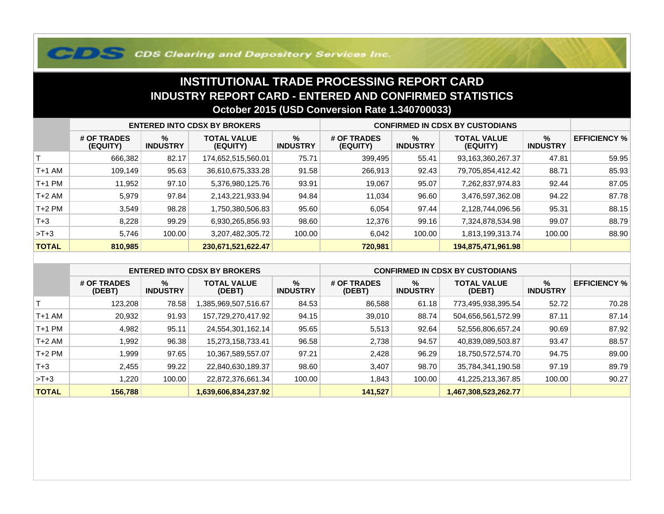## **COS Clearing and Depository Services Inc.**

## **INSTITUTIONAL TRADE PROCESSING REPORT CARD INDUSTRY REPORT CARD - ENTERED AND CONFIRMED STATISTICSOctober 2015 (USD Conversion Rate 1.340700033)**

|              | <b>ENTERED INTO CDSX BY BROKERS</b> |                         |                                |                         | <b>CONFIRMED IN CDSX BY CUSTODIANS</b> |                         |                                |                         |                     |
|--------------|-------------------------------------|-------------------------|--------------------------------|-------------------------|----------------------------------------|-------------------------|--------------------------------|-------------------------|---------------------|
|              | # OF TRADES<br>(EQUITY)             | $\%$<br><b>INDUSTRY</b> | <b>TOTAL VALUE</b><br>(EQUITY) | $\%$<br><b>INDUSTRY</b> | # OF TRADES<br>(EQUITY)                | $\%$<br><b>INDUSTRY</b> | <b>TOTAL VALUE</b><br>(EQUITY) | $\%$<br><b>INDUSTRY</b> | <b>EFFICIENCY %</b> |
|              | 666,382                             | 82.17                   | 174,652,515,560.01             | 75.71                   | 399,495                                | 55.41                   | 93,163,360,267.37              | 47.81                   | 59.95               |
| T+1 AM       | 109.149                             | 95.63                   | 36,610,675,333.28              | 91.58                   | 266,913                                | 92.43                   | 79,705,854,412.42              | 88.71                   | 85.93               |
| T+1 PM       | 11,952                              | 97.10                   | 5,376,980,125.76               | 93.91                   | 19,067                                 | 95.07                   | 7,262,837,974.83               | 92.44                   | 87.05               |
| T+2 AM       | 5,979                               | 97.84                   | 2,143,221,933.94               | 94.84                   | 11.034                                 | 96.60                   | 3,476,597,362.08               | 94.22                   | 87.78               |
| $T+2$ PM     | 3,549                               | 98.28                   | 1,750,380,506.83               | 95.60                   | 6,054                                  | 97.44                   | 2,128,744,096.56               | 95.31                   | 88.15               |
| $T + 3$      | 8,228                               | 99.29                   | 6,930,265,856.93               | 98.60                   | 12,376                                 | 99.16                   | 7,324,878,534.98               | 99.07                   | 88.79               |
| $>T+3$       | 5.746                               | 100.00                  | 3,207,482,305.72               | 100.00                  | 6,042                                  | 100.00                  | 1,813,199,313.74               | 100.00                  | 88.90               |
| <b>TOTAL</b> | 810,985                             |                         | 230,671,521,622.47             |                         | 720,981                                |                         | 194,875,471,961.98             |                         |                     |

|              | <b>ENTERED INTO CDSX BY BROKERS</b> |                         |                              |                         | <b>CONFIRMED IN CDSX BY CUSTODIANS</b> |                         |                              |                      |                     |
|--------------|-------------------------------------|-------------------------|------------------------------|-------------------------|----------------------------------------|-------------------------|------------------------------|----------------------|---------------------|
|              | # OF TRADES<br>(DEBT)               | $\%$<br><b>INDUSTRY</b> | <b>TOTAL VALUE</b><br>(DEBT) | $\%$<br><b>INDUSTRY</b> | # OF TRADES<br>(DEBT)                  | $\%$<br><b>INDUSTRY</b> | <b>TOTAL VALUE</b><br>(DEBT) | %<br><b>INDUSTRY</b> | <b>EFFICIENCY %</b> |
|              | 123.208                             | 78.58                   | 1,385,969,507,516.67         | 84.53                   | 86,588                                 | 61.18                   | 773,495,938,395.54           | 52.72                | 70.28               |
| $T+1$ AM     | 20,932                              | 91.93                   | 157,729,270,417.92           | 94.15                   | 39,010                                 | 88.74                   | 504,656,561,572.99           | 87.11                | 87.14               |
| $T+1$ PM     | 4,982                               | 95.11                   | 24,554,301,162.14            | 95.65                   | 5,513                                  | 92.64                   | 52,556,806,657.24            | 90.69                | 87.92               |
| T+2 AM       | 1,992                               | 96.38                   | 15,273,158,733.41            | 96.58                   | 2,738                                  | 94.57                   | 40,839,089,503.87            | 93.47                | 88.57               |
| $T+2$ PM     | 1,999                               | 97.65                   | 10,367,589,557.07            | 97.21                   | 2,428                                  | 96.29                   | 18,750,572,574.70            | 94.75                | 89.00               |
| $T + 3$      | 2,455                               | 99.22                   | 22,840,630,189.37            | 98.60                   | 3,407                                  | 98.70                   | 35,784,341,190.58            | 97.19                | 89.79               |
| $>T+3$       | 1,220                               | 100.00                  | 22,872,376,661.34            | 100.00                  | .843                                   | 100.00                  | 41,225,213,367.85            | 100.00               | 90.27               |
| <b>TOTAL</b> | 156,788                             |                         | 1,639,606,834,237.92         |                         | 141,527                                |                         | 1,467,308,523,262.77         |                      |                     |